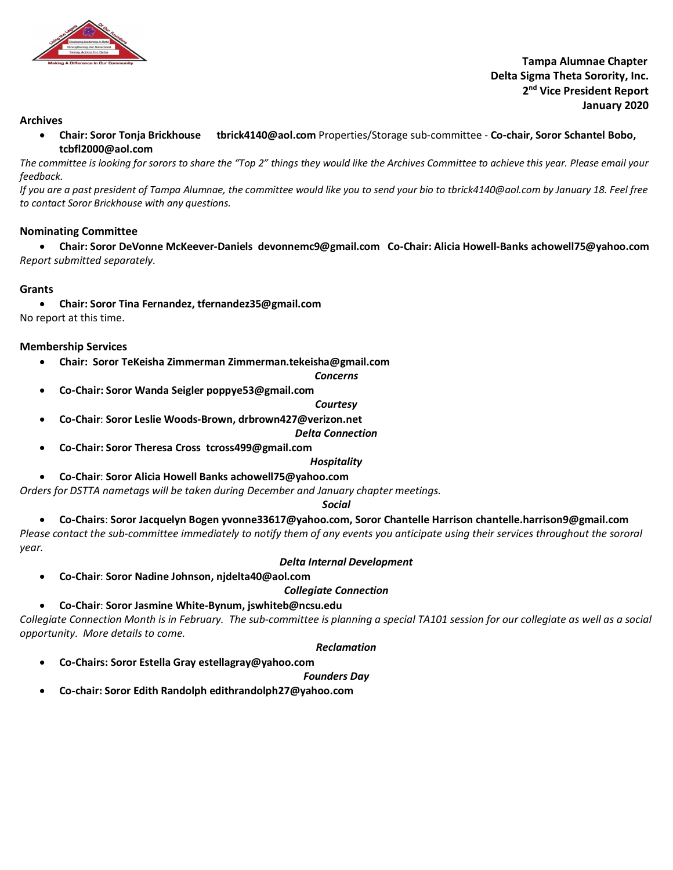

 **Tampa Alumnae Chapter Delta Sigma Theta Sorority, Inc. 2nd Vice President Report January 2020**

# **Archives**

• **Chair: Soror Tonja Brickhouse tbrick4140@aol.com** Properties/Storage sub-committee - **Co-chair, Soror Schantel Bobo, tcbfl2000@aol.com**

*The committee is looking for sorors to share the "Top 2" things they would like the Archives Committee to achieve this year. Please email your feedback.* 

*If you are a past president of Tampa Alumnae, the committee would like you to send your bio to tbrick4140@aol.com by January 18. Feel free to contact Soror Brickhouse with any questions.* 

# **Nominating Committee**

• **Chair: Soror DeVonne McKeever-Daniels devonnemc9@gmail.com Co-Chair: Alicia Howell-Banks achowell75@yahoo.com** *Report submitted separately.* 

# **Grants**

• **Chair: Soror Tina Fernandez, tfernandez35@gmail.com** No report at this time.

# **Membership Services**

- **Chair: Soror TeKeisha Zimmerman Zimmerman.tekeisha@gmail.com**
	- *Concerns*
- **Co-Chair: Soror Wanda Seigler poppye53@gmail.com**

# *Courtesy*

• **Co-Chair**: **Soror Leslie Woods-Brown, drbrown427@verizon.net**

*Delta Connection*

• **Co-Chair: Soror Theresa Cross tcross499@gmail.com**

# *Hospitality*

• **Co-Chair**: **Soror Alicia Howell Banks achowell75@yahoo.com**

*Orders for DSTTA nametags will be taken during December and January chapter meetings.*

# *Social*

• **Co-Chairs**: **Soror Jacquelyn Bogen yvonne33617@yahoo.com, Soror Chantelle Harrison chantelle.harrison9@gmail.com**

*Please contact the sub-committee immediately to notify them of any events you anticipate using their services throughout the sororal year.* 

# *Delta Internal Development*

• **Co-Chair**: **Soror Nadine Johnson, njdelta40@aol.com**

*Collegiate Connection*

# • **Co-Chair**: **Soror Jasmine White-Bynum, jswhiteb@ncsu.edu**

*Collegiate Connection Month is in February. The sub-committee is planning a special TA101 session for our collegiate as well as a social opportunity. More details to come.* 

# *Reclamation*

• **Co-Chairs: Soror Estella Gray estellagray@yahoo.com** 

*Founders Day*

• **Co-chair: Soror Edith Randolph edithrandolph27@yahoo.com**